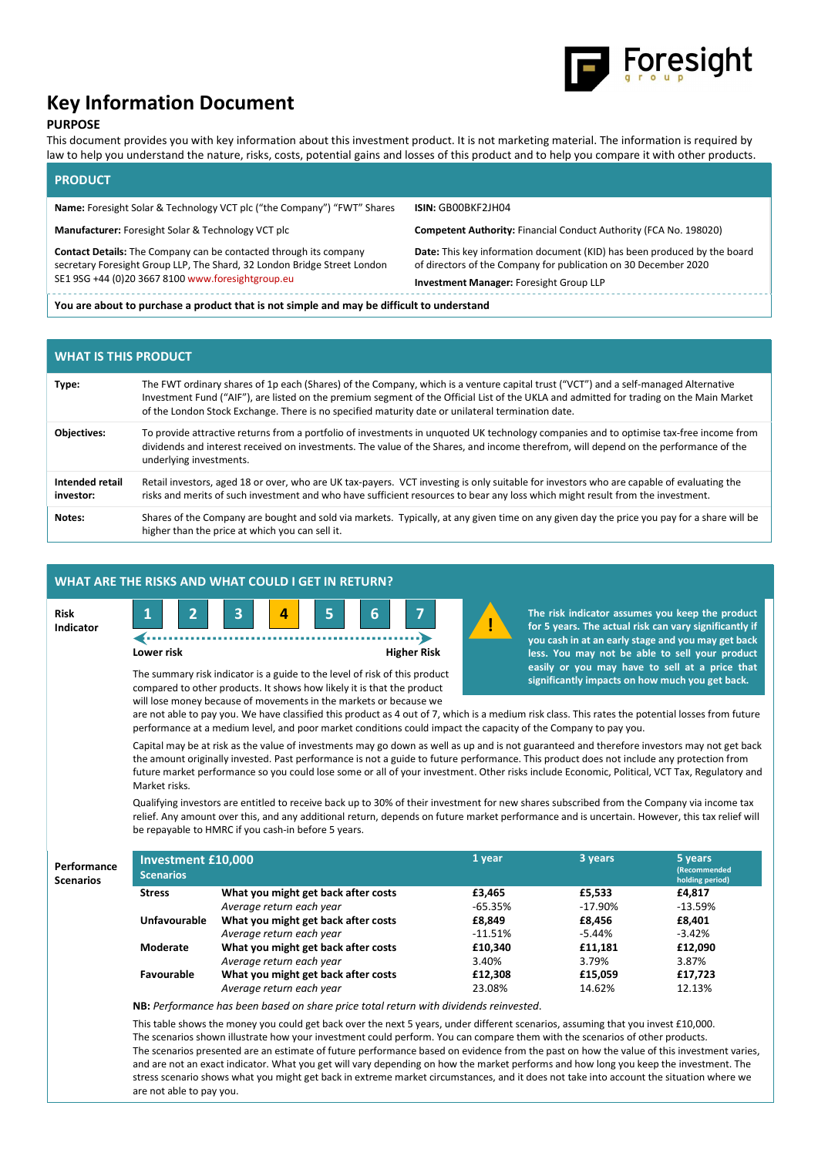

# Key Information Document

## PURPOSE

This document provides you with key information about this investment product. It is not marketing material. The information is required by law to help you understand the nature, risks, costs, potential gains and losses of this product and to help you compare it with other products.

# PRODUCT

| <b>Name:</b> Foresight Solar & Technology VCT plc ("the Company") "FWT" Shares                                                                                                                            | ISIN: GBOOBKF2JH04                                                                                                                                                                            |  |  |  |  |
|-----------------------------------------------------------------------------------------------------------------------------------------------------------------------------------------------------------|-----------------------------------------------------------------------------------------------------------------------------------------------------------------------------------------------|--|--|--|--|
| Manufacturer: Foresight Solar & Technology VCT plc                                                                                                                                                        | <b>Competent Authority: Financial Conduct Authority (FCA No. 198020)</b>                                                                                                                      |  |  |  |  |
| <b>Contact Details:</b> The Company can be contacted through its company<br>secretary Foresight Group LLP, The Shard, 32 London Bridge Street London<br>SE1 9SG +44 (0)20 3667 8100 www.foresightgroup.eu | <b>Date:</b> This key information document (KID) has been produced by the board<br>of directors of the Company for publication on 30 December 2020<br>Investment Manager: Foresight Group LLP |  |  |  |  |
| You are about to purchase a product that is not simple and may be difficult to understand                                                                                                                 |                                                                                                                                                                                               |  |  |  |  |

| <b>WHAT IS THIS PRODUCT</b>  |                                                                                                                                                                                                                                                                                                                                                                                     |  |  |  |
|------------------------------|-------------------------------------------------------------------------------------------------------------------------------------------------------------------------------------------------------------------------------------------------------------------------------------------------------------------------------------------------------------------------------------|--|--|--|
| Type:                        | The FWT ordinary shares of 1p each (Shares) of the Company, which is a venture capital trust ("VCT") and a self-managed Alternative<br>Investment Fund ("AIF"), are listed on the premium segment of the Official List of the UKLA and admitted for trading on the Main Market<br>of the London Stock Exchange. There is no specified maturity date or unilateral termination date. |  |  |  |
| <b>Objectives:</b>           | To provide attractive returns from a portfolio of investments in unquoted UK technology companies and to optimise tax-free income from<br>dividends and interest received on investments. The value of the Shares, and income therefrom, will depend on the performance of the<br>underlying investments.                                                                           |  |  |  |
| Intended retail<br>investor: | Retail investors, aged 18 or over, who are UK tax-payers. VCT investing is only suitable for investors who are capable of evaluating the<br>risks and merits of such investment and who have sufficient resources to bear any loss which might result from the investment.                                                                                                          |  |  |  |
| Notes:                       | Shares of the Company are bought and sold via markets. Typically, at any given time on any given day the price you pay for a share will be<br>higher than the price at which you can sell it.                                                                                                                                                                                       |  |  |  |

| WHAT ARE THE RISKS AND WHAT COULD I GET IN RETURN?                                                                                                                                                                                                                                                                                                                                                                                                                                                                                                                                                                                                                                                                                                                                                   |                                                                                                                                                                                   |                    |                                                                                                                                                                                                                                                                                                                        |  |  |  |  |
|------------------------------------------------------------------------------------------------------------------------------------------------------------------------------------------------------------------------------------------------------------------------------------------------------------------------------------------------------------------------------------------------------------------------------------------------------------------------------------------------------------------------------------------------------------------------------------------------------------------------------------------------------------------------------------------------------------------------------------------------------------------------------------------------------|-----------------------------------------------------------------------------------------------------------------------------------------------------------------------------------|--------------------|------------------------------------------------------------------------------------------------------------------------------------------------------------------------------------------------------------------------------------------------------------------------------------------------------------------------|--|--|--|--|
| Risk<br>Indicator                                                                                                                                                                                                                                                                                                                                                                                                                                                                                                                                                                                                                                                                                                                                                                                    | 3<br>6<br>4<br>Lower risk<br>The summary risk indicator is a guide to the level of risk of this product<br>compared to other products. It shows how likely it is that the product | <b>Higher Risk</b> | The risk indicator assumes you keep the product<br>for 5 years. The actual risk can vary significantly if<br>you cash in at an early stage and you may get back<br>less. You may not be able to sell your product<br>easily or you may have to sell at a price that<br>significantly impacts on how much you get back. |  |  |  |  |
| will lose money because of movements in the markets or because we<br>are not able to pay you. We have classified this product as 4 out of 7, which is a medium risk class. This rates the potential losses from future<br>performance at a medium level, and poor market conditions could impact the capacity of the Company to pay you.<br>Capital may be at risk as the value of investments may go down as well as up and is not guaranteed and therefore investors may not get back<br>the amount originally invested. Past performance is not a guide to future performance. This product does not include any protection from<br>future market performance so you could lose some or all of your investment. Other risks include Economic, Political, VCT Tax, Regulatory and<br>Market risks. |                                                                                                                                                                                   |                    |                                                                                                                                                                                                                                                                                                                        |  |  |  |  |

Qualifying investors are entitled to receive back up to 30% of their investment for new shares subscribed from the Company via income tax relief. Any amount over this, and any additional return, depends on future market performance and is uncertain. However, this tax relief will be repayable to HMRC if you cash-in before 5 years.

| Performance<br><b>Scenarios</b> | Investment £10,000<br><b>Scenarios</b> |                                     | 1 year    | 3 years  | 5 years<br><b>(Recommended)</b><br>holding period) |
|---------------------------------|----------------------------------------|-------------------------------------|-----------|----------|----------------------------------------------------|
|                                 | <b>Stress</b>                          | What you might get back after costs | £3,465    | £5.533   | £4.817                                             |
|                                 |                                        | Average return each year            | $-65.35%$ | -17.90%  | $-13.59\%$                                         |
|                                 | <b>Unfavourable</b>                    | What you might get back after costs | £8.849    | £8.456   | £8,401                                             |
|                                 |                                        | Average return each year            | $-11.51%$ | $-5.44%$ | $-3.42%$                                           |
|                                 | Moderate                               | What you might get back after costs | £10,340   | £11.181  | £12,090                                            |
|                                 |                                        | Average return each year            | 3.40%     | 3.79%    | 3.87%                                              |
|                                 | Favourable                             | What you might get back after costs | £12,308   | £15,059  | £17,723                                            |
|                                 |                                        | Average return each year            | 23.08%    | 14.62%   | 12.13%                                             |

NB: Performance has been based on share price total return with dividends reinvested.

This table shows the money you could get back over the next 5 years, under different scenarios, assuming that you invest £10,000. The scenarios shown illustrate how your investment could perform. You can compare them with the scenarios of other products. The scenarios presented are an estimate of future performance based on evidence from the past on how the value of this investment varies, and are not an exact indicator. What you get will vary depending on how the market performs and how long you keep the investment. The stress scenario shows what you might get back in extreme market circumstances, and it does not take into account the situation where we are not able to pay you.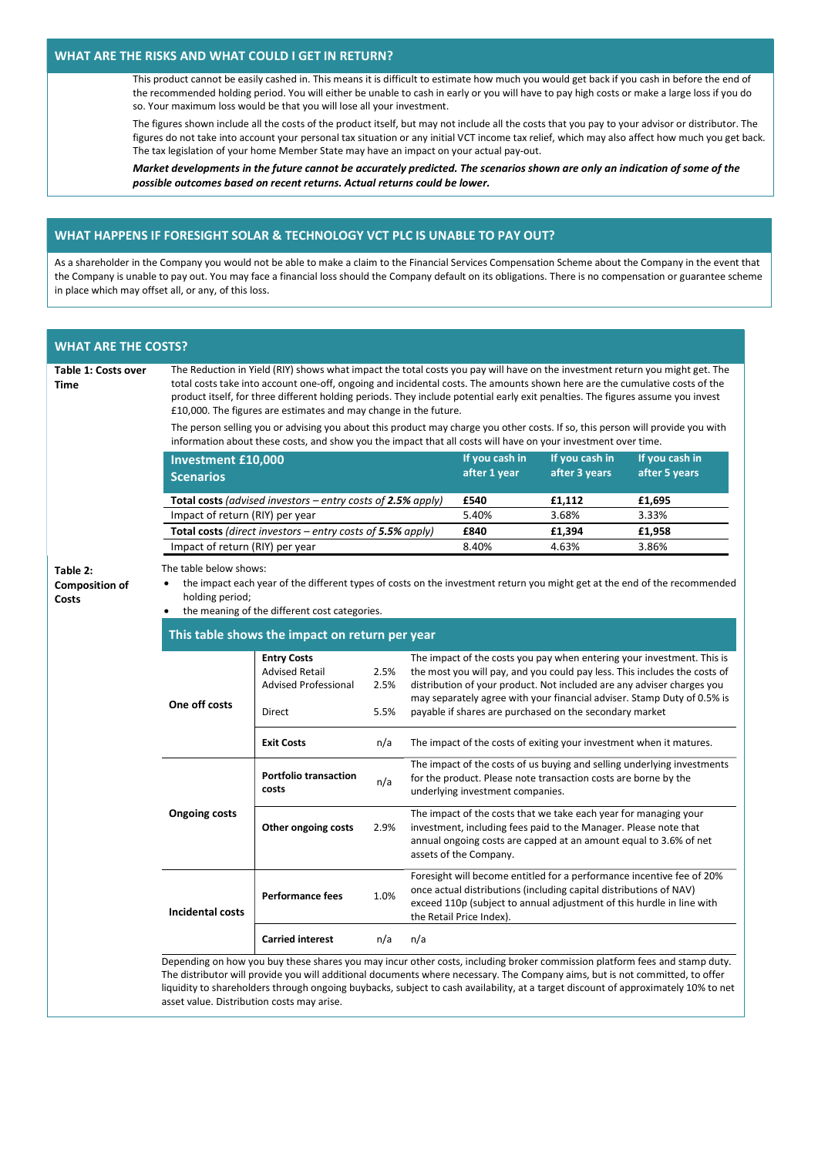#### WHAT ARE THE RISKS AND WHAT COULD I GET IN RETURN?

This product cannot be easily cashed in. This means it is difficult to estimate how much you would get back if you cash in before the end of the recommended holding period. You will either be unable to cash in early or you will have to pay high costs or make a large loss if you do so. Your maximum loss would be that you will lose all your investment.

The figures shown include all the costs of the product itself, but may not include all the costs that you pay to your advisor or distributor. The figures do not take into account your personal tax situation or any initial VCT income tax relief, which may also affect how much you get back. The tax legislation of your home Member State may have an impact on your actual pay-out.

Market developments in the future cannot be accurately predicted. The scenarios shown are only an indication of some of the possible outcomes based on recent returns. Actual returns could be lower.

## WHAT HAPPENS IF FORESIGHT SOLAR & TECHNOLOGY VCT PLC IS UNABLE TO PAY OUT?

As a shareholder in the Company you would not be able to make a claim to the Financial Services Compensation Scheme about the Company in the event that the Company is unable to pay out. You may face a financial loss should the Company default on its obligations. There is no compensation or guarantee scheme in place which may offset all, or any, of this loss.

| <b>WHAT ARE THE COSTS?</b>         |                                                                                                                                                                                                                                                                                                                                                                                                                                                                    |                                                                                                                                                                                                                                                                                                                                                                                                  |                      |                                                                                                                                                                                                                                                                                                                                                                     |                                 |                                 |        |  |
|------------------------------------|--------------------------------------------------------------------------------------------------------------------------------------------------------------------------------------------------------------------------------------------------------------------------------------------------------------------------------------------------------------------------------------------------------------------------------------------------------------------|--------------------------------------------------------------------------------------------------------------------------------------------------------------------------------------------------------------------------------------------------------------------------------------------------------------------------------------------------------------------------------------------------|----------------------|---------------------------------------------------------------------------------------------------------------------------------------------------------------------------------------------------------------------------------------------------------------------------------------------------------------------------------------------------------------------|---------------------------------|---------------------------------|--------|--|
| Table 1: Costs over<br><b>Time</b> | The Reduction in Yield (RIY) shows what impact the total costs you pay will have on the investment return you might get. The<br>total costs take into account one-off, ongoing and incidental costs. The amounts shown here are the cumulative costs of the<br>product itself, for three different holding periods. They include potential early exit penalties. The figures assume you invest<br>£10,000. The figures are estimates and may change in the future. |                                                                                                                                                                                                                                                                                                                                                                                                  |                      |                                                                                                                                                                                                                                                                                                                                                                     |                                 |                                 |        |  |
|                                    |                                                                                                                                                                                                                                                                                                                                                                                                                                                                    | The person selling you or advising you about this product may charge you other costs. If so, this person will provide you with<br>information about these costs, and show you the impact that all costs will have on your investment over time.                                                                                                                                                  |                      |                                                                                                                                                                                                                                                                                                                                                                     |                                 |                                 |        |  |
|                                    | <b>Investment £10,000</b>                                                                                                                                                                                                                                                                                                                                                                                                                                          |                                                                                                                                                                                                                                                                                                                                                                                                  |                      | If you cash in<br>after 1 year                                                                                                                                                                                                                                                                                                                                      | If you cash in<br>after 3 years | If you cash in<br>after 5 years |        |  |
|                                    |                                                                                                                                                                                                                                                                                                                                                                                                                                                                    | <b>Scenarios</b>                                                                                                                                                                                                                                                                                                                                                                                 |                      |                                                                                                                                                                                                                                                                                                                                                                     |                                 |                                 |        |  |
|                                    |                                                                                                                                                                                                                                                                                                                                                                                                                                                                    | <b>Total costs</b> (advised investors – entry costs of 2.5% apply)                                                                                                                                                                                                                                                                                                                               |                      |                                                                                                                                                                                                                                                                                                                                                                     | £540                            | £1,112                          | £1,695 |  |
|                                    | Impact of return (RIY) per year                                                                                                                                                                                                                                                                                                                                                                                                                                    |                                                                                                                                                                                                                                                                                                                                                                                                  |                      |                                                                                                                                                                                                                                                                                                                                                                     | 5.40%                           | 3.68%                           | 3.33%  |  |
|                                    |                                                                                                                                                                                                                                                                                                                                                                                                                                                                    | <b>Total costs</b> (direct investors $-$ entry costs of <b>5.5%</b> apply)                                                                                                                                                                                                                                                                                                                       |                      |                                                                                                                                                                                                                                                                                                                                                                     | £840                            | £1,394                          | £1,958 |  |
|                                    | Impact of return (RIY) per year                                                                                                                                                                                                                                                                                                                                                                                                                                    |                                                                                                                                                                                                                                                                                                                                                                                                  |                      |                                                                                                                                                                                                                                                                                                                                                                     | 8.40%                           | 4.63%                           | 3.86%  |  |
| <b>Composition of</b><br>Costs     | the impact each year of the different types of costs on the investment return you might get at the end of the recommended<br>holding period;<br>the meaning of the different cost categories.<br>$\bullet$<br>This table shows the impact on return per year                                                                                                                                                                                                       |                                                                                                                                                                                                                                                                                                                                                                                                  |                      |                                                                                                                                                                                                                                                                                                                                                                     |                                 |                                 |        |  |
|                                    | One off costs                                                                                                                                                                                                                                                                                                                                                                                                                                                      | <b>Entry Costs</b><br><b>Advised Retail</b><br><b>Advised Professional</b><br>Direct                                                                                                                                                                                                                                                                                                             | 2.5%<br>2.5%<br>5.5% | The impact of the costs you pay when entering your investment. This is<br>the most you will pay, and you could pay less. This includes the costs of<br>distribution of your product. Not included are any adviser charges you<br>may separately agree with your financial adviser. Stamp Duty of 0.5% is<br>payable if shares are purchased on the secondary market |                                 |                                 |        |  |
|                                    |                                                                                                                                                                                                                                                                                                                                                                                                                                                                    | <b>Exit Costs</b>                                                                                                                                                                                                                                                                                                                                                                                | n/a                  | The impact of the costs of exiting your investment when it matures.                                                                                                                                                                                                                                                                                                 |                                 |                                 |        |  |
|                                    |                                                                                                                                                                                                                                                                                                                                                                                                                                                                    | <b>Portfolio transaction</b><br>costs                                                                                                                                                                                                                                                                                                                                                            | n/a                  | The impact of the costs of us buying and selling underlying investments<br>for the product. Please note transaction costs are borne by the<br>underlying investment companies.                                                                                                                                                                                      |                                 |                                 |        |  |
|                                    | <b>Ongoing costs</b>                                                                                                                                                                                                                                                                                                                                                                                                                                               | Other ongoing costs                                                                                                                                                                                                                                                                                                                                                                              | 2.9%                 | The impact of the costs that we take each year for managing your<br>investment, including fees paid to the Manager. Please note that<br>annual ongoing costs are capped at an amount equal to 3.6% of net<br>assets of the Company.                                                                                                                                 |                                 |                                 |        |  |
|                                    | <b>Incidental costs</b>                                                                                                                                                                                                                                                                                                                                                                                                                                            | <b>Performance fees</b>                                                                                                                                                                                                                                                                                                                                                                          | 1.0%                 | Foresight will become entitled for a performance incentive fee of 20%<br>once actual distributions (including capital distributions of NAV)<br>exceed 110p (subject to annual adjustment of this hurdle in line with<br>the Retail Price Index).                                                                                                                    |                                 |                                 |        |  |
|                                    |                                                                                                                                                                                                                                                                                                                                                                                                                                                                    | <b>Carried interest</b>                                                                                                                                                                                                                                                                                                                                                                          | n/a                  | n/a                                                                                                                                                                                                                                                                                                                                                                 |                                 |                                 |        |  |
|                                    | asset value. Distribution costs may arise.                                                                                                                                                                                                                                                                                                                                                                                                                         | Depending on how you buy these shares you may incur other costs, including broker commission platform fees and stamp duty.<br>The distributor will provide you will additional documents where necessary. The Company aims, but is not committed, to offer<br>liquidity to shareholders through ongoing buybacks, subject to cash availability, at a target discount of approximately 10% to net |                      |                                                                                                                                                                                                                                                                                                                                                                     |                                 |                                 |        |  |